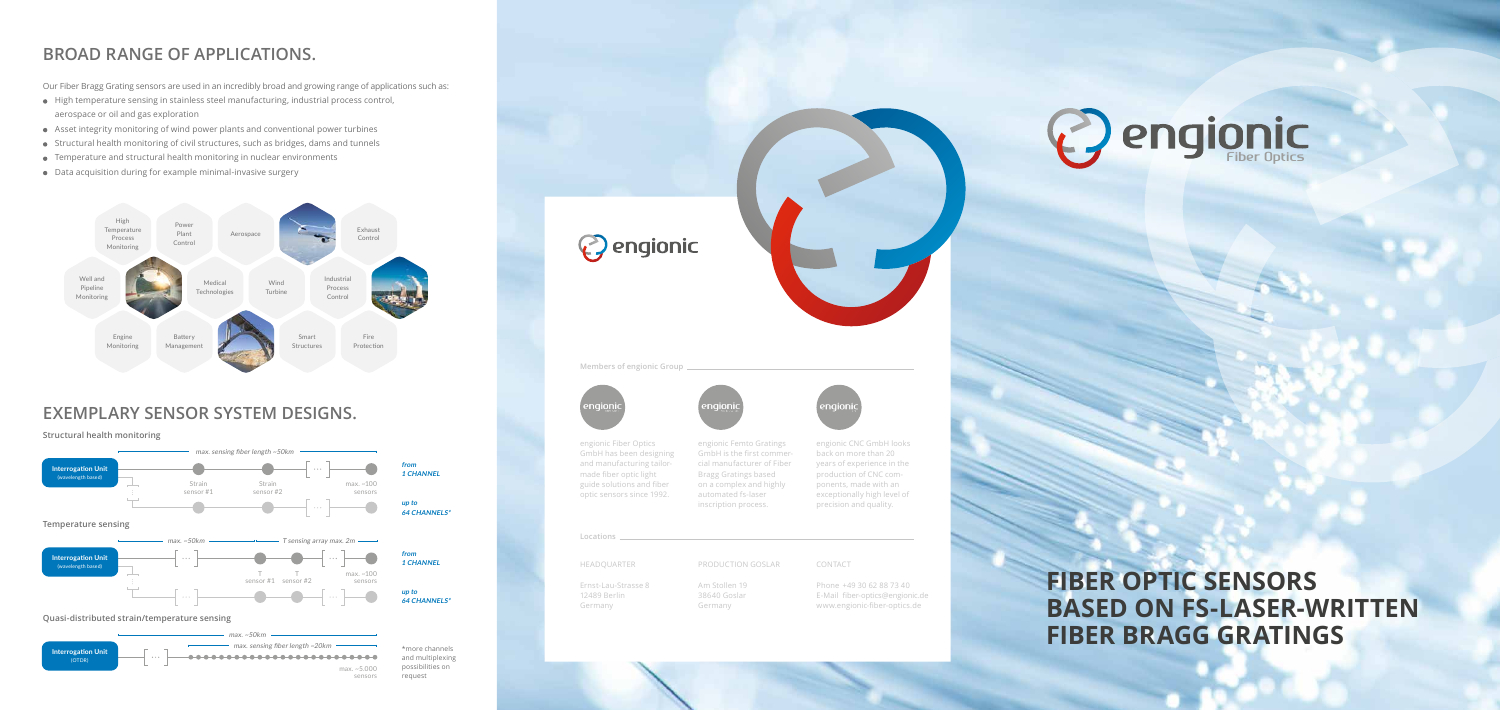**FIBER OPTIC SENSORS BASED ON FS-LASER-WRITTEN FIBER BRAGG GRATINGS**

## **BROAD RANGE OF APPLICATIONS.**

Our Fiber Bragg Grating sensors are used in an incredibly broad and growing range of applications such as:

- High temperature sensing in stainless steel manufacturing, industrial process control, aerospace or oil and gas exploration
- Asset integrity monitoring of wind power plants and conventional power turbines
- Structural health monitoring of civil structures, such as bridges, dams and tunnels
- Temperature and structural health monitoring in nuclear environments
- Data acquisition during for example minimal-invasive surgery

### **EXEMPLARY SENSOR SYSTEM DESIGNS.**



 $max ~ 50km$ 

**from 1 CHANNEL**

**up to**

**64 CHANNELS\***

**from 1 CHANNEL**

**up to**

**64 CHANNELS\***

**P** engionic







**PROGUSTAR** CONTACT

\*more channels and multiplexing possibilities on request



engionic Fiber Optics GmbH has been designing and manufacturing tailormade fiber optic light guide solutions and fiber optic sensors since 1992.

**Members of engionic Group**

| Locations                                      |                                          |
|------------------------------------------------|------------------------------------------|
| <b>HEADOUARTER</b>                             | PRODUCTION                               |
| Ernst-Lau-Strasse 8<br>12489 Berlin<br>Germany | Am Stollen 19<br>38640 Goslar<br>Germany |



# **P**engionic



engionic Femto Gratings GmbH is the first commercial manufacturer of Fiber Bragg Gratings based on a complex and highly automated fs-laser inscription process.

engionic CNC GmbH looks back on more than 20 years of experience in the production of CNC components, made with an exceptionally high level of precision and quality.

Phone +49 30 62 88 73 40 E-Mail fiber-optics@engionic.de www.engionic-fiber-optics.de